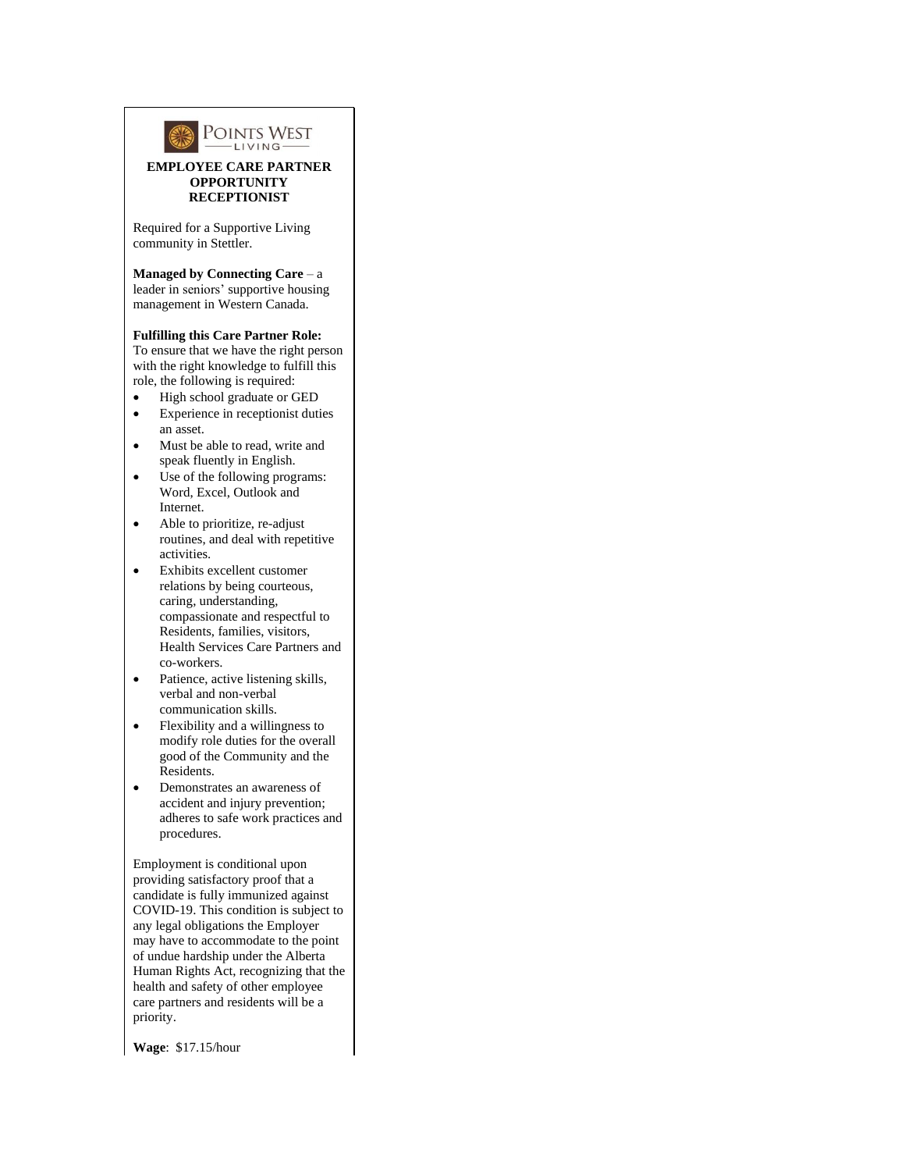

## **EMPLOYEE CARE PARTNER OPPORTUNITY RECEPTIONIST**

Required for a Supportive Living community in Stettler.

**Managed by Connecting Care** – a leader in seniors' supportive housing management in Western Canada.

## **Fulfilling this Care Partner Role:**

To ensure that we have the right person with the right knowledge to fulfill this role, the following is required:

- High school graduate or GED
- Experience in receptionist duties an asset.
- Must be able to read, write and speak fluently in English.
- Use of the following programs: Word, Excel, Outlook and Internet.
- Able to prioritize, re-adjust routines, and deal with repetitive activities.
- Exhibits excellent customer relations by being courteous, caring, understanding, compassionate and respectful to Residents, families, visitors, Health Services Care Partners and co-workers.
- Patience, active listening skills, verbal and non-verbal communication skills.
- Flexibility and a willingness to modify role duties for the overall good of the Community and the Residents.
- Demonstrates an awareness of accident and injury prevention; adheres to safe work practices and procedures.

Employment is conditional upon providing satisfactory proof that a candidate is fully immunized against COVID-19. This condition is subject to any legal obligations the Employer may have to accommodate to the point of undue hardship under the Alberta Human Rights Act, recognizing that the health and safety of other employee care partners and residents will be a priority.

**Wage**: \$17.15/hour